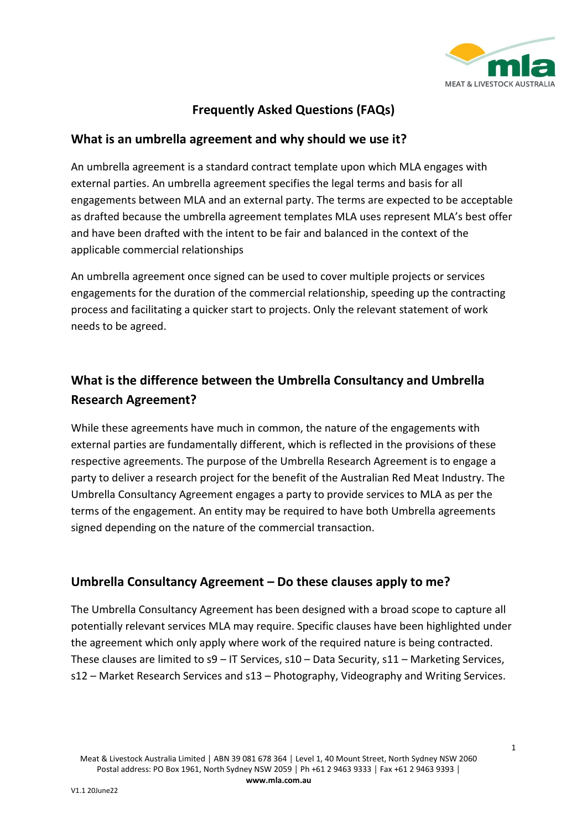

### **Frequently Asked Questions (FAQs)**

#### **What is an umbrella agreement and why should we use it?**

An umbrella agreement is a standard contract template upon which MLA engages with external parties. An umbrella agreement specifies the legal terms and basis for all engagements between MLA and an external party. The terms are expected to be acceptable as drafted because the umbrella agreement templates MLA uses represent MLA's best offer and have been drafted with the intent to be fair and balanced in the context of the applicable commercial relationships

An umbrella agreement once signed can be used to cover multiple projects or services engagements for the duration of the commercial relationship, speeding up the contracting process and facilitating a quicker start to projects. Only the relevant statement of work needs to be agreed.

# **What is the difference between the Umbrella Consultancy and Umbrella Research Agreement?**

While these agreements have much in common, the nature of the engagements with external parties are fundamentally different, which is reflected in the provisions of these respective agreements. The purpose of the Umbrella Research Agreement is to engage a party to deliver a research project for the benefit of the Australian Red Meat Industry. The Umbrella Consultancy Agreement engages a party to provide services to MLA as per the terms of the engagement. An entity may be required to have both Umbrella agreements signed depending on the nature of the commercial transaction.

#### **Umbrella Consultancy Agreement – Do these clauses apply to me?**

The Umbrella Consultancy Agreement has been designed with a broad scope to capture all potentially relevant services MLA may require. Specific clauses have been highlighted under the agreement which only apply where work of the required nature is being contracted. These clauses are limited to s9 – IT Services, s10 – Data Security, s11 – Marketing Services, s12 – Market Research Services and s13 – Photography, Videography and Writing Services.